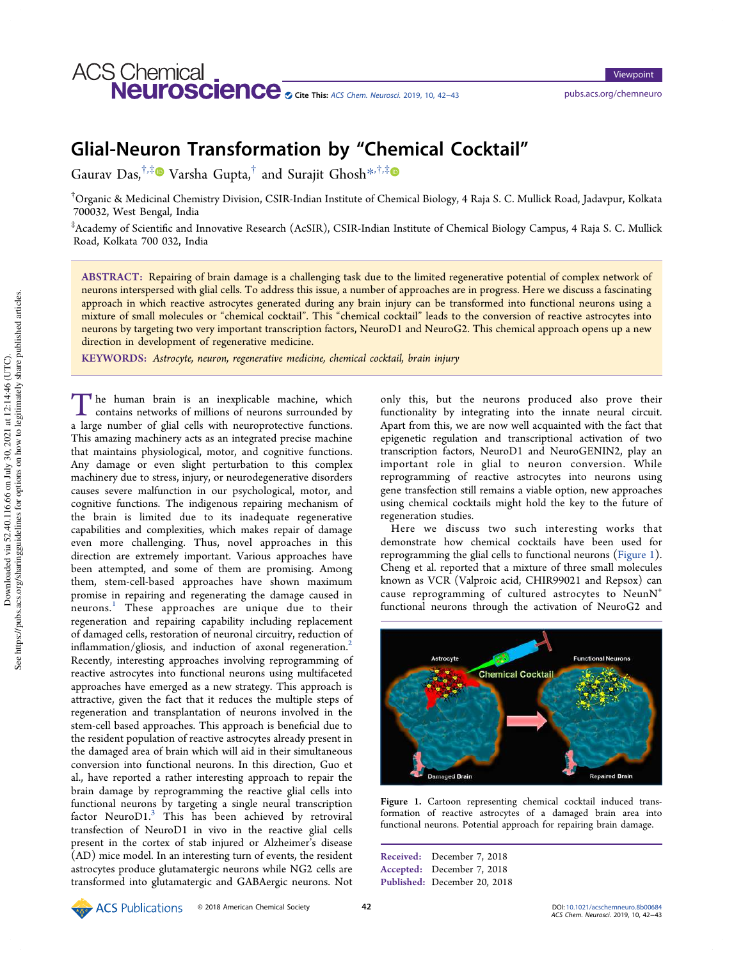# Glial-Neuron Transformation by "Chemical Cocktail"

Gaurav Das, $^{\dagger,\ddagger}$  Varsha Gupta, $^{\dagger}$  and Surajit Ghosh $^{*,\dagger,\ddagger}$ 

†Organic & Medicinal Chemistry Division, CSIR-Indian Institute of Chemical Biology, 4 Raja S. C. Mullick Road, Jadavpur, Kolkata 700032, West Bengal, India

‡ Academy of Scientific and Innovative Research (AcSIR), CSIR-Indian Institute of Chemical Biology Campus, 4 Raja S. C. Mullick Road, Kolkata 700 032, India

ABSTRACT: Repairing of brain damage is a challenging task due to the limited regenerative potential of complex network of neurons interspersed with glial cells. To address this issue, a number of approaches are in progress. Here we discuss a fascinating approach in which reactive astrocytes generated during any brain injury can be transformed into functional neurons using a mixture of small molecules or "chemical cocktail". This "chemical cocktail" leads to the conversion of reactive astrocytes into neurons by targeting two very important transcription factors, NeuroD1 and NeuroG2. This chemical approach opens up a new direction in development of regenerative medicine.

KEYWORDS: Astrocyte, neuron, regenerative medicine, chemical cocktail, brain injury

The human brain is an inexplicable machine, which<br>contains networks of millions of neurons surrounded by<br>a large number of slid sells with neuronstative functions The human brain is an inexplicable machine, which a large number of glial cells with neuroprotective functions. This amazing machinery acts as an integrated precise machine that maintains physiological, motor, and cognitive functions. Any damage or even slight perturbation to this complex machinery due to stress, injury, or neurodegenerative disorders causes severe malfunction in our psychological, motor, and cognitive functions. The indigenous repairing mechanism of the brain is limited due to its inadequate regenerative capabilities and complexities, which makes repair of damage even more challenging. Thus, novel approaches in this direction are extremely important. Various approaches have been attempted, and some of them are promising. Among them, stem-cell-based approaches have shown maximum promise in repairing and regenerating the damage caused in neurons. <sup>1</sup> These approaches are unique due to their regeneration and repairing capability including replacement of damaged cells, restoration of neuronal circuitry, reduction of inflammation/gliosis, and induction of axonal regeneration.<sup>2</sup> Recently, interesting approaches involving reprogramming of reactive astrocytes into functional neurons using multifaceted approaches have emerged as a new strategy. This approach is attractive, given the fact that it reduces the multiple steps of regeneration and transplantation of neurons involved in the stem-cell based approaches. This approach is beneficial due to the resident population of reactive astrocytes already present in the damaged area of brain which will aid in their simultaneous conversion into functional neurons. In this direction, Guo et al., have reported a rather interesting approach to repair the brain damage by reprogramming the reactive glial cells into functional neurons by targeting a single neural transcription factor Neuro $D1$ .<sup>3</sup> This has been achieved by retroviral transfection of NeuroD1 in vivo in the reactive glial cells present in the cortex of stab injured or Alzheimer's disease (AD) mice model. In an interesting turn of events, the resident astrocytes produce glutamatergic neurons while NG2 cells are transformed into glutamatergic and GABAergic neurons. Not

only this, but the neurons produced also prove their functionality by integrating into the innate neural circuit. Apart from this, we are now well acquainted with the fact that epigenetic regulation and transcriptional activation of two transcription factors, NeuroD1 and NeuroGENIN2, play an important role in glial to neuron conversion. While reprogramming of reactive astrocytes into neurons using gene transfection still remains a viable option, new approaches using chemical cocktails might hold the key to the future of regeneration studies.

Here we discuss two such interesting works that demonstrate how chemical cocktails have been used for reprogramming the glial cells to functional neurons (Figure 1). Cheng et al. reported that a mixture of three small molecules known as VCR (Valproic acid, CHIR99021 and Repsox) can cause reprogramming of cultured astrocytes to NeunN<sup>+</sup> functional neurons through the activation of NeuroG2 and



Figure 1. Cartoon representing chemical cocktail induced transformation of reactive astrocytes of a damaged brain area into functional neurons. Potential approach for repairing brain damage.

Received: December 7, 2018 Accepted: December 7, 2018 Published: December 20, 2018